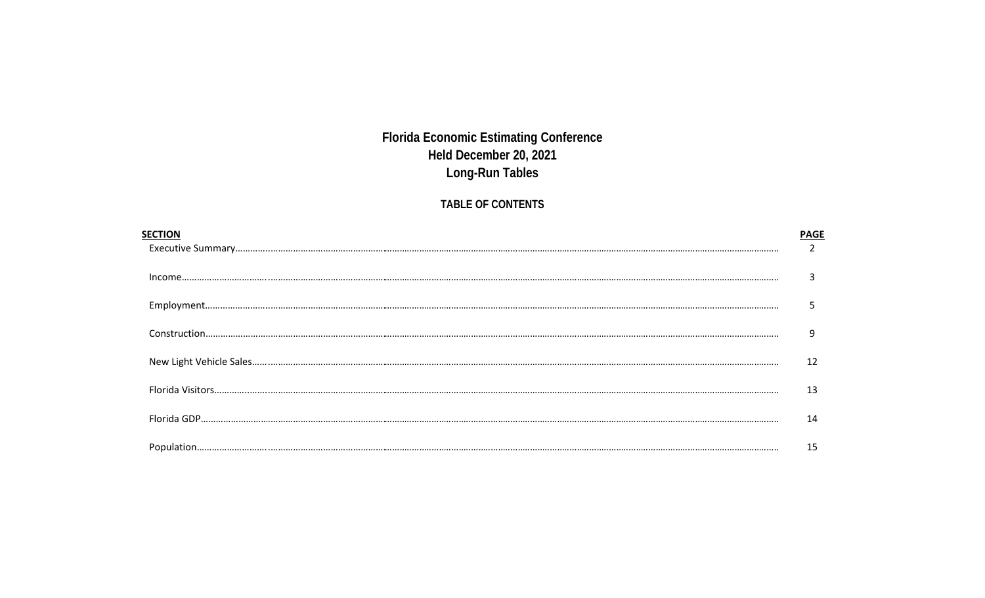## **Florida Economic Estimating Conference** Held December 20, 2021 Long-Run Tables

## TABLE OF CONTENTS

| 9  |
|----|
| 12 |
| 13 |
| 14 |
| 15 |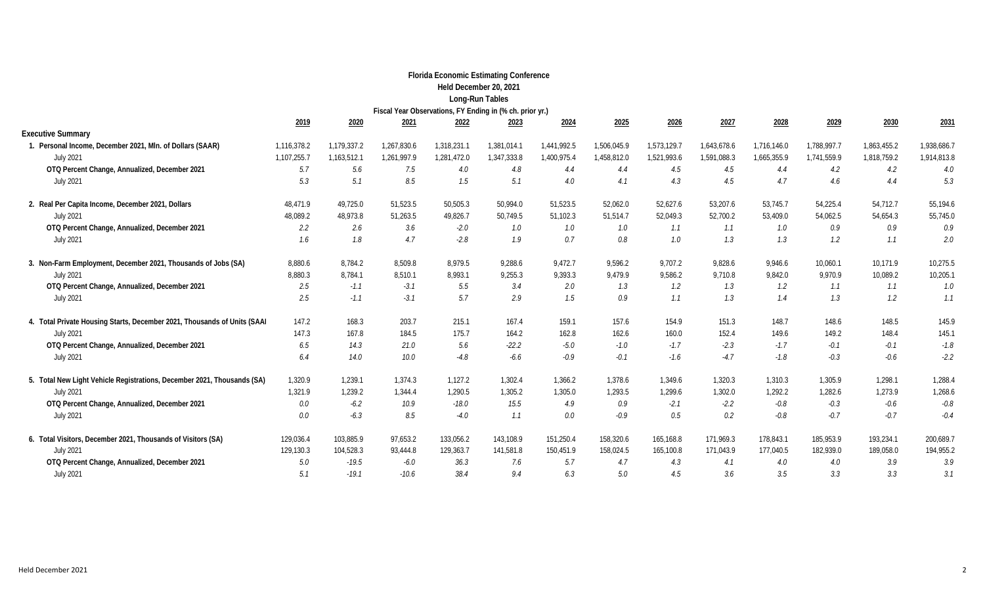|                                                                          |             |             |             |             | <b>Florida Economic Estimating Conference</b>            |             |             |             |             |             |             |             |             |
|--------------------------------------------------------------------------|-------------|-------------|-------------|-------------|----------------------------------------------------------|-------------|-------------|-------------|-------------|-------------|-------------|-------------|-------------|
|                                                                          |             |             |             |             | Held December 20, 2021                                   |             |             |             |             |             |             |             |             |
|                                                                          |             |             |             |             | Long-Run Tables                                          |             |             |             |             |             |             |             |             |
|                                                                          |             |             |             |             | Fiscal Year Observations, FY Ending in (% ch. prior yr.) |             |             |             |             |             |             |             |             |
|                                                                          | 2019        | 2020        | 2021        | 2022        | 2023                                                     | 2024        | 2025        | 2026        | 2027        | 2028        | 2029        | 2030        | 2031        |
| <b>Executive Summary</b>                                                 |             |             |             |             |                                                          |             |             |             |             |             |             |             |             |
| 1. Personal Income, December 2021, MIn. of Dollars (SAAR)                | 1,116,378.2 | 1,179,337.2 | 1,267,830.6 | 1,318,231.1 | 1,381,014.1                                              | 1,441,992.5 | 1,506,045.9 | 1,573,129.7 | 1,643,678.6 | 1,716,146.0 | 1,788,997.7 | 1,863,455.2 | 1,938,686.7 |
| <b>July 2021</b>                                                         | 1,107,255.7 | 1,163,512.1 | 1,261,997.9 | 1,281,472.0 | 1,347,333.8                                              | 1,400,975.4 | 1,458,812.0 | 1,521,993.6 | 1,591,088.3 | 1,665,355.9 | 1,741,559.9 | 1,818,759.2 | 1,914,813.8 |
| OTQ Percent Change, Annualized, December 2021                            | 5.7         | 5.6         | 7.5         | 4.0         | 4.8                                                      | 4.4         | 4.4         | 4.5         | 4.5         | 4.4         | 4.2         | 4.2         | 4.0         |
| <b>July 2021</b>                                                         | 5.3         | 5.1         | 8.5         | 1.5         | 5.1                                                      | 4.0         | 4.1         | 4.3         | 4.5         | 4.7         | 4.6         | 4.4         | 5.3         |
| 2. Real Per Capita Income, December 2021, Dollars                        | 48,471.9    | 49,725.0    | 51,523.5    | 50,505.3    | 50,994.0                                                 | 51,523.5    | 52,062.0    | 52,627.6    | 53,207.6    | 53,745.7    | 54,225.4    | 54,712.7    | 55,194.6    |
| <b>July 2021</b>                                                         | 48,089.2    | 48,973.8    | 51,263.5    | 49,826.7    | 50,749.5                                                 | 51,102.3    | 51,514.7    | 52,049.3    | 52,700.2    | 53,409.0    | 54,062.5    | 54,654.3    | 55,745.0    |
| OTQ Percent Change, Annualized, December 2021                            | $2.2\,$     | 2.6         | 3.6         | $-2.0$      | 1.0                                                      | 1.0         | 1.0         | 1.1         | 1.1         | 1.0         | 0.9         | 0.9         | 0.9         |
| <b>July 2021</b>                                                         | 1.6         | 1.8         | 4.7         | $-2.8$      | 1.9                                                      | 0.7         | 0.8         | 1.0         | 1.3         | 1.3         | 1.2         | 1.1         | 2.0         |
| 3. Non-Farm Employment, December 2021, Thousands of Jobs (SA)            | 8,880.6     | 8,784.2     | 8,509.8     | 8.979.5     | 9,288.6                                                  | 9,472.7     | 9,596.2     | 9,707.2     | 9,828.6     | 9,946.6     | 10,060.1    | 10,171.9    | 10,275.5    |
| <b>July 2021</b>                                                         | 8,880.3     | 8,784.1     | 8,510.1     | 8,993.1     | 9,255.3                                                  | 9,393.3     | 9,479.9     | 9,586.2     | 9,710.8     | 9,842.0     | 9,970.9     | 10,089.2    | 10,205.1    |
| OTQ Percent Change, Annualized, December 2021                            | 2.5         | $-1.1$      | $-3.1$      | 5.5         | 3.4                                                      | 2.0         | 1.3         | 1.2         | 1.3         | $1.2\,$     | 1.1         | 1.1         | 1.0         |
| <b>July 2021</b>                                                         | 2.5         | $-1.1$      | $-3.1$      | 5.7         | 2.9                                                      | 1.5         | 0.9         | 1.1         | 1.3         | 1.4         | 1.3         | 1.2         | 1.1         |
| 4. Total Private Housing Starts, December 2021, Thousands of Units (SAAI | 147.2       | 168.3       | 203.7       | 215.1       | 167.4                                                    | 159.1       | 157.6       | 154.9       | 151.3       | 148.7       | 148.6       | 148.5       | 145.9       |
| <b>July 2021</b>                                                         | 147.3       | 167.8       | 184.5       | 175.7       | 164.2                                                    | 162.8       | 162.6       | 160.0       | 152.4       | 149.6       | 149.2       | 148.4       | 145.1       |
| OTQ Percent Change, Annualized, December 2021                            | 6.5         | 14.3        | 21.0        | 5.6         | $-22.2$                                                  | $-5.0$      | $-1.0$      | $-1.7$      | $-2.3$      | $-1.7$      | $-0.1$      | $-0.1$      | $-1.8$      |
| <b>July 2021</b>                                                         | 6.4         | 14.0        | 10.0        | $-4.8$      | $-6.6$                                                   | $-0.9$      | $-0.1$      | $-1.6$      | $-4.7$      | $-1.8$      | $-0.3$      | $-0.6$      | $-2.2$      |
| 5. Total New Light Vehicle Registrations, December 2021, Thousands (SA)  | 1,320.9     | 1,239.1     | 1.374.3     | 1,127.2     | 1,302.4                                                  | 1,366.2     | 1,378.6     | 1,349.6     | 1,320.3     | 1,310.3     | 1.305.9     | 1,298.1     | 1,288.4     |
| <b>July 2021</b>                                                         | 1,321.9     | 1,239.2     | 1,344.4     | 1,290.5     | 1,305.2                                                  | 1,305.0     | 1,293.5     | 1,299.6     | 1,302.0     | 1,292.2     | 1,282.6     | 1,273.9     | 1,268.6     |
| OTQ Percent Change, Annualized, December 2021                            | 0.0         | $-6.2$      | 10.9        | $-18.0$     | 15.5                                                     | 4.9         | 0.9         | $-2.1$      | $-2.2$      | $-0.8$      | $-0.3$      | $-0.6$      | $-0.8$      |
| <b>July 2021</b>                                                         | 0.0         | $-6.3$      | 8.5         | $-4.0$      | 1.1                                                      | 0.0         | $-0.9$      | 0.5         | 0.2         | $-0.8$      | $-0.7$      | $-0.7$      | $-0.4$      |
| 6. Total Visitors, December 2021, Thousands of Visitors (SA)             | 129,036.4   | 103,885.9   | 97,653.2    | 133,056.2   | 143,108.9                                                | 151,250.4   | 158,320.6   | 165,168.8   | 171,969.3   | 178,843.1   | 185,953.9   | 193,234.1   | 200,689.7   |
| <b>July 2021</b>                                                         | 129,130.3   | 104,528.3   | 93,444.8    | 129,363.7   | 141,581.8                                                | 150,451.9   | 158,024.5   | 165,100.8   | 171,043.9   | 177,040.5   | 182,939.0   | 189,058.0   | 194,955.2   |
| OTQ Percent Change, Annualized, December 2021                            | 5.0         | $-19.5$     | $-6.0$      | 36.3        | 7.6                                                      | 5.7         | 4.7         | 4.3         | 4.1         | 4.0         | 4.0         | 3.9         | 3.9         |
| <b>July 2021</b>                                                         | 5.1         | $-19.1$     | $-10.6$     | 38.4        | 9.4                                                      | 6.3         | 5.0         | 4.5         | 3.6         | 3.5         | 3.3         | 3.3         | 3.1         |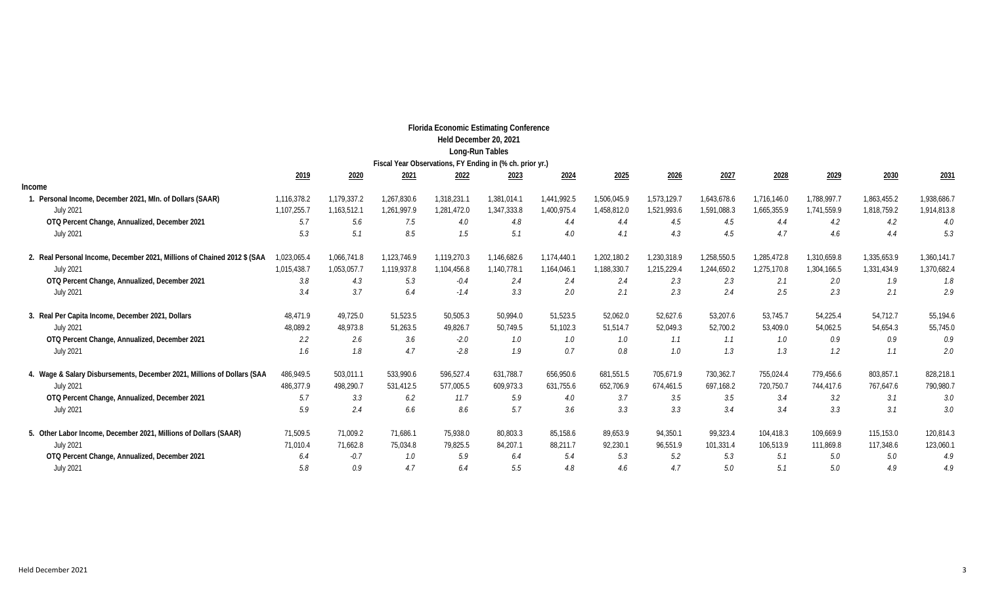|                                                                          |             |             |                                                          | <b>Florida Economic Estimating Conference</b> | Held December 20, 2021<br>Long-Run Tables |             |             |             |             |             |             |             |             |
|--------------------------------------------------------------------------|-------------|-------------|----------------------------------------------------------|-----------------------------------------------|-------------------------------------------|-------------|-------------|-------------|-------------|-------------|-------------|-------------|-------------|
|                                                                          |             |             | Fiscal Year Observations, FY Ending in (% ch. prior yr.) |                                               |                                           |             |             |             |             |             |             |             |             |
|                                                                          | 2019        | 2020        | 2021                                                     | 2022                                          | 2023                                      | 2024        | 2025        | 2026        | 2027        | 2028        | 2029        | 2030        | 2031        |
| Income                                                                   |             |             |                                                          |                                               |                                           |             |             |             |             |             |             |             |             |
| 1. Personal Income, December 2021, MIn. of Dollars (SAAR)                | 1,116,378.2 | 1,179,337.2 | 1,267,830.6                                              | 1,318,231.1                                   | 1,381,014.1                               | 1,441,992.5 | 1,506,045.9 | 1,573,129.7 | 1,643,678.6 | 1,716,146.0 | 1,788,997.7 | 1,863,455.2 | 1,938,686.7 |
| <b>July 2021</b>                                                         | 1,107,255.7 | 1,163,512.1 | 1,261,997.9                                              | 1,281,472.0                                   | 1,347,333.8                               | 1,400,975.4 | 1,458,812.0 | 1,521,993.6 | 1,591,088.3 | 1,665,355.9 | 1,741,559.9 | 1,818,759.2 | 1,914,813.8 |
| OTQ Percent Change, Annualized, December 2021                            | 5.7         | 5.6         | 7.5                                                      | 4.0                                           | 4.8                                       | 4.4         | 4.4         | 4.5         | 4.5         | 4.4         | 4.2         | 4.2         | 4.0         |
| <b>July 2021</b>                                                         | 5.3         | 5.1         | 8.5                                                      | 1.5                                           | 5.1                                       | 4.0         | 4.1         | 4.3         | 4.5         | 4.7         | 4.6         | 4.4         | 5.3         |
| 2. Real Personal Income, December 2021, Millions of Chained 2012 \$ (SAA | 1,023,065.4 | 1,066,741.8 | 1,123,746.9                                              | 1,119,270.3                                   | 1,146,682.6                               | 1,174,440.1 | 1,202,180.2 | 1,230,318.9 | 1,258,550.5 | 1,285,472.8 | 1,310,659.8 | 1,335,653.9 | 1,360,141.7 |
| <b>July 2021</b>                                                         | 1,015,438.7 | 1,053,057.7 | 1,119,937.8                                              | 1,104,456.8                                   | 1,140,778.1                               | 1,164,046.1 | 1,188,330.7 | 1,215,229.4 | 1,244,650.2 | 1,275,170.8 | 1,304,166.5 | 1,331,434.9 | 1,370,682.4 |
| OTQ Percent Change, Annualized, December 2021                            | 3.8         | 4.3         | 5.3                                                      | $-0.4$                                        | 2.4                                       | 2.4         | 2.4         | 2.3         | 2.3         | 2.1         | 2.0         | 1.9         | 1.8         |
| <b>July 2021</b>                                                         | 3.4         | 3.7         | 6.4                                                      | $-1.4$                                        | 3.3                                       | 2.0         | 2.1         | 2.3         | 2.4         | 2.5         | 2.3         | 2.1         | 2.9         |
| 3. Real Per Capita Income, December 2021, Dollars                        | 48,471.9    | 49,725.0    | 51,523.5                                                 | 50,505.3                                      | 50,994.0                                  | 51,523.5    | 52,062.0    | 52,627.6    | 53,207.6    | 53,745.7    | 54,225.4    | 54,712.7    | 55,194.6    |
| <b>July 2021</b>                                                         | 48,089.2    | 48,973.8    | 51,263.5                                                 | 49,826.7                                      | 50,749.5                                  | 51,102.3    | 51,514.7    | 52,049.3    | 52,700.2    | 53,409.0    | 54,062.5    | 54,654.3    | 55,745.0    |
| OTQ Percent Change, Annualized, December 2021                            | 2.2         | 2.6         | 3.6                                                      | $-2.0$                                        | 1.0                                       | 1.0         | 1.0         | 1.1         | 1.1         | 1.0         | 0.9         | 0.9         | 0.9         |
| <b>July 2021</b>                                                         | 1.6         | 1.8         | 4.7                                                      | $-2.8$                                        | 1.9                                       | 0.7         | 0.8         | 1.0         | 1.3         | 1.3         | 1.2         | 1.1         | 2.0         |
| 4. Wage & Salary Disbursements, December 2021, Millions of Dollars (SAA  | 486,949.5   | 503,011.1   | 533,990.6                                                | 596,527.4                                     | 631,788.7                                 | 656,950.6   | 681,551.5   | 705,671.9   | 730,362.7   | 755,024.4   | 779,456.6   | 803,857.1   | 828,218.1   |
| <b>July 2021</b>                                                         | 486,377.9   | 498,290.7   | 531,412.5                                                | 577,005.5                                     | 609,973.3                                 | 631,755.6   | 652,706.9   | 674,461.5   | 697,168.2   | 720,750.7   | 744,417.6   | 767,647.6   | 790,980.7   |
| OTQ Percent Change, Annualized, December 2021                            | 5.7         | 3.3         | 6.2                                                      | 11.7                                          | 5.9                                       | 4.0         | 3.7         | 3.5         | 3.5         | 3.4         | 3.2         | 3.1         | 3.0         |
| <b>July 2021</b>                                                         | 5.9         | 2.4         | 6.6                                                      | 8.6                                           | 5.7                                       | 3.6         | 3.3         | 3.3         | 3.4         | 3.4         | 3.3         | 3.1         | 3.0         |
| 5. Other Labor Income, December 2021, Millions of Dollars (SAAR)         | 71,509.5    | 71,009.2    | 71,686.1                                                 | 75,938.0                                      | 80,803.3                                  | 85,158.6    | 89,653.9    | 94,350.1    | 99,323.4    | 104,418.3   | 109,669.9   | 115,153.0   | 120,814.3   |
| <b>July 2021</b>                                                         | 71,010.4    | 71,662.8    | 75,034.8                                                 | 79,825.5                                      | 84,207.1                                  | 88,211.7    | 92,230.1    | 96,551.9    | 101,331.4   | 106,513.9   | 111,869.8   | 117,348.6   | 123,060.1   |
| OTQ Percent Change, Annualized, December 2021                            | 6.4         | $-0.7$      | 1.0                                                      | 5.9                                           | 6.4                                       | 5.4         | 5.3         | 5.2         | 5.3         | 5.1         | 5.0         | 5.0         | 4.9         |
| <b>July 2021</b>                                                         | 5.8         | 0.9         | 4.7                                                      | 6.4                                           | 5.5                                       | 4.8         | 4.6         | 4.7         | 5.0         | 5.1         | 5.0         | 4.9         | 4.9         |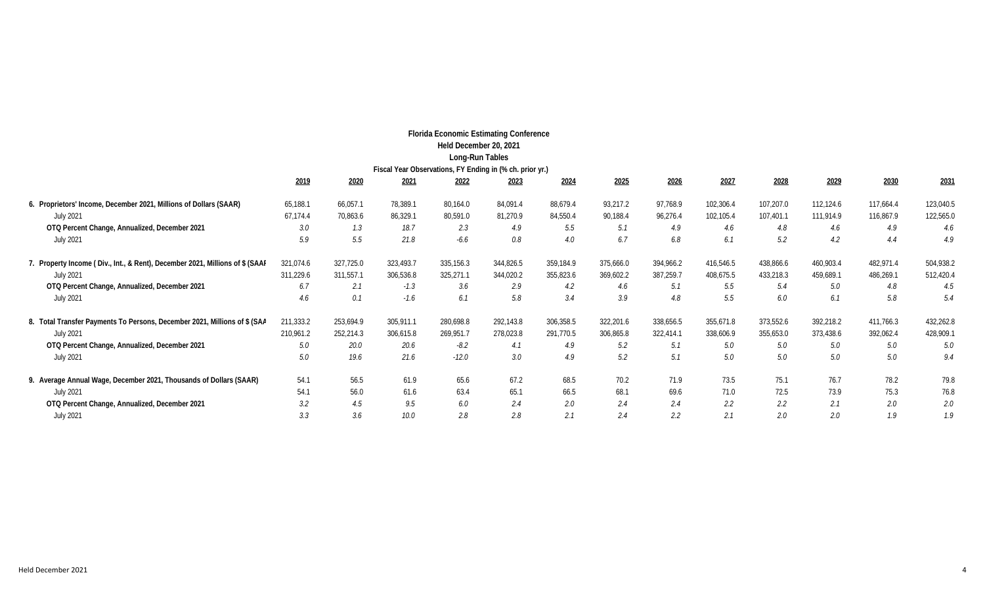|                                                                              |           |           |           |                        | <b>Florida Economic Estimating Conference</b>            |           |           |           |           |           |           |           |           |
|------------------------------------------------------------------------------|-----------|-----------|-----------|------------------------|----------------------------------------------------------|-----------|-----------|-----------|-----------|-----------|-----------|-----------|-----------|
|                                                                              |           |           |           | Held December 20, 2021 |                                                          |           |           |           |           |           |           |           |           |
|                                                                              |           |           |           | Long-Run Tables        |                                                          |           |           |           |           |           |           |           |           |
|                                                                              |           |           |           |                        | Fiscal Year Observations, FY Ending in (% ch. prior yr.) |           |           |           |           |           |           |           |           |
|                                                                              | 2019      | 2020      | 2021      | 2022                   | 2023                                                     | 2024      | 2025      | 2026      | 2027      | 2028      | 2029      | 2030      | 2031      |
| 6. Proprietors' Income, December 2021, Millions of Dollars (SAAR)            | 65,188.1  | 66,057.1  | 78,389.1  | 80,164.0               | 84,091.4                                                 | 88,679.4  | 93,217.2  | 97,768.9  | 102,306.4 | 107,207.0 | 112,124.6 | 117.664.4 | 123,040.5 |
| <b>July 2021</b>                                                             | 67,174.4  | 70,863.6  | 86,329.1  | 80,591.0               | 81,270.9                                                 | 84,550.4  | 90,188.4  | 96,276.4  | 102,105.4 | 107,401.1 | 111,914.9 | 116,867.9 | 122,565.0 |
| OTQ Percent Change, Annualized, December 2021                                | 3.0       | 1.3       | 18.7      | 2.3                    | 4.9                                                      | 5.5       | 5.1       | 4.9       | 4.6       | 4.8       | 4.6       | 4.9       | 4.6       |
| <b>July 2021</b>                                                             | 5.9       | 5.5       | 21.8      | $-6.6$                 | 0.8                                                      | 4.0       | 6.7       | 6.8       | 6.1       | 5.2       | 4.2       | 4.4       | 4.9       |
| 7. Property Income (Div., Int., & Rent), December 2021, Millions of \$ (SAAI | 321,074.6 | 327,725.0 | 323,493.7 | 335,156.3              | 344,826.5                                                | 359,184.9 | 375,666.0 | 394,966.2 | 416,546.5 | 438,866.6 | 460,903.4 | 482,971.4 | 504,938.2 |
| <b>July 2021</b>                                                             | 311,229.6 | 311,557.1 | 306,536.8 | 325,271.1              | 344,020.2                                                | 355,823.6 | 369,602.2 | 387,259.7 | 408,675.5 | 433,218.3 | 459,689.1 | 486,269.1 | 512,420.4 |
| OTQ Percent Change, Annualized, December 2021                                | 6.7       | 2.1       | $-1.3$    | 3.6                    | 2.9                                                      | 4.2       | 4.6       | 5.1       | 5.5       | 5.4       | 5.0       | 4.8       | 4.5       |
| <b>July 2021</b>                                                             | 4.6       | 0.1       | $-1.6$    | 6.1                    | 5.8                                                      | 3.4       | 3.9       | 4.8       | 5.5       | 6.0       | 6.1       | 5.8       | 5.4       |
| 8. Total Transfer Payments To Persons, December 2021, Millions of \$ (SAA    | 211,333.2 | 253,694.9 | 305,911.1 | 280,698.8              | 292,143.8                                                | 306,358.5 | 322,201.6 | 338,656.5 | 355,671.8 | 373,552.6 | 392,218.2 | 411,766.3 | 432,262.8 |
| <b>July 2021</b>                                                             | 210,961.2 | 252,214.3 | 306,615.8 | 269,951.7              | 278,023.8                                                | 291,770.5 | 306,865.8 | 322,414.1 | 338,606.9 | 355,653.0 | 373,438.6 | 392,062.4 | 428,909.1 |
| OTQ Percent Change, Annualized, December 2021                                | 5.0       | 20.0      | 20.6      | -8.2                   | 4.1                                                      | 4.9       | 5.2       | 5.1       | 5.0       | 5.0       | 5.0       | 5.0       | 5.0       |
| <b>July 2021</b>                                                             | 5.0       | 19.6      | 21.6      | $-12.0$                | 3.0                                                      | 4.9       | 5.2       | 5.1       | 5.0       | 5.0       | 5.0       | 5.0       | 9.4       |
| 9. Average Annual Wage, December 2021, Thousands of Dollars (SAAR)           | 54.1      | 56.5      | 61.9      | 65.6                   | 67.2                                                     | 68.5      | 70.2      | 71.9      | 73.5      | 75.1      | 76.7      | 78.2      | 79.8      |
| <b>July 2021</b>                                                             | 54.1      | 56.0      | 61.6      | 63.4                   | 65.1                                                     | 66.5      | 68.1      | 69.6      | 71.0      | 72.5      | 73.9      | 75.3      | 76.8      |
| OTQ Percent Change, Annualized, December 2021                                | 3.2       | 4.5       | 9.5       | 6.0                    | 2.4                                                      | 2.0       | 2.4       | 2.4       | 2.2       | 2.2       | 2.1       | 2.0       | 2.0       |
| <b>July 2021</b>                                                             | 3.3       | 3.6       | 10.0      | 2.8                    | 2.8                                                      | 2.1       | 2.4       | 2.2       | 2.1       | 2.0       | 2.0       | 1.9       | 1.9       |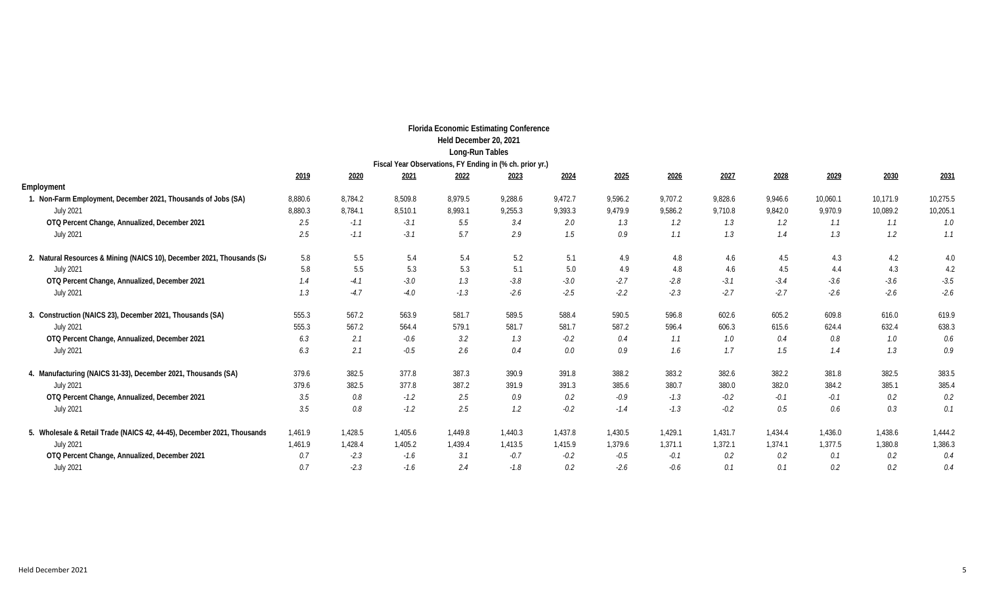|                                                                         |         |         |         | <b>Florida Economic Estimating Conference</b>            |         |         |         |         |         |               |          |          |          |
|-------------------------------------------------------------------------|---------|---------|---------|----------------------------------------------------------|---------|---------|---------|---------|---------|---------------|----------|----------|----------|
|                                                                         |         |         |         | Held December 20, 2021                                   |         |         |         |         |         |               |          |          |          |
|                                                                         |         |         |         | Long-Run Tables                                          |         |         |         |         |         |               |          |          |          |
|                                                                         |         |         |         | Fiscal Year Observations, FY Ending in (% ch. prior yr.) |         |         |         |         |         |               |          |          |          |
|                                                                         | 2019    | 2020    | 2021    | 2022                                                     | 2023    | 2024    | 2025    | 2026    | 2027    | 2028          | 2029     | 2030     | 2031     |
| Employment                                                              |         |         |         |                                                          |         |         |         |         |         |               |          |          |          |
| 1. Non-Farm Employment, December 2021, Thousands of Jobs (SA)           | 8,880.6 | 8,784.2 | 8,509.8 | 8.979.5                                                  | 9,288.6 | 9,472.7 | 9,596.2 | 9,707.2 | 9,828.6 | 9,946.6       | 10,060.1 | 10,171.9 | 10,275.5 |
| <b>July 2021</b>                                                        | 8,880.3 | 8,784.1 | 8,510.1 | 8,993.1                                                  | 9,255.3 | 9,393.3 | 9,479.9 | 9,586.2 | 9,710.8 | 9,842.0       | 9.970.9  | 10,089.2 | 10,205.1 |
| OTQ Percent Change, Annualized, December 2021                           | 2.5     | $-1.1$  | $-3.1$  | 5.5                                                      | 3.4     | 2.0     | 1.3     | 1.2     | 1.3     | $1.2^{\circ}$ | 1.1      | 1.1      | 1.0      |
| <b>July 2021</b>                                                        | 2.5     | $-1.1$  | $-3.1$  | 5.7                                                      | 2.9     | 1.5     | 0.9     | 1.1     | 1.3     | 1.4           | 1.3      | 1.2      | 1.1      |
| 2. Natural Resources & Mining (NAICS 10), December 2021, Thousands (Si  | 5.8     | 5.5     | 5.4     | 5.4                                                      | 5.2     | 5.1     | 4.9     | 4.8     | 4.6     | 4.5           | 4.3      | 4.2      | 4.0      |
| <b>July 2021</b>                                                        | 5.8     | 5.5     | 5.3     | 5.3                                                      | 5.1     | 5.0     | 4.9     | 4.8     | 4.6     | 4.5           | 4.4      | 4.3      | 4.2      |
| OTQ Percent Change, Annualized, December 2021                           | 1.4     | $-4.1$  | $-3.0$  | 1.3                                                      | $-3.8$  | $-3.0$  | $-2.7$  | $-2.8$  | $-3.1$  | $-3.4$        | $-3.6$   | $-3.6$   | $-3.5$   |
| <b>July 2021</b>                                                        | 1.3     | $-4.7$  | $-4.0$  | $-1.3$                                                   | $-2.6$  | $-2.5$  | $-2.2$  | $-2.3$  | $-2.7$  | $-2.7$        | $-2.6$   | $-2.6$   | $-2.6$   |
| 3. Construction (NAICS 23), December 2021, Thousands (SA)               | 555.3   | 567.2   | 563.9   | 581.7                                                    | 589.5   | 588.4   | 590.5   | 596.8   | 602.6   | 605.2         | 609.8    | 616.0    | 619.9    |
| <b>July 2021</b>                                                        | 555.3   | 567.2   | 564.4   | 579.1                                                    | 581.7   | 581.7   | 587.2   | 596.4   | 606.3   | 615.6         | 624.4    | 632.4    | 638.3    |
| OTQ Percent Change, Annualized, December 2021                           | 6.3     | 2.1     | $-0.6$  | 3.2                                                      | 1.3     | $-0.2$  | 0.4     | 1.1     | 1.0     | 0.4           | 0.8      | 1.0      | 0.6      |
| <b>July 2021</b>                                                        | 6.3     | 2.1     | $-0.5$  | 2.6                                                      | 0.4     | 0.0     | 0.9     | 1.6     | 1.7     | 1.5           | 1.4      | 1.3      | 0.9      |
| 4. Manufacturing (NAICS 31-33), December 2021, Thousands (SA)           | 379.6   | 382.5   | 377.8   | 387.3                                                    | 390.9   | 391.8   | 388.2   | 383.2   | 382.6   | 382.2         | 381.8    | 382.5    | 383.5    |
| <b>July 2021</b>                                                        | 379.6   | 382.5   | 377.8   | 387.2                                                    | 391.9   | 391.3   | 385.6   | 380.7   | 380.0   | 382.0         | 384.2    | 385.1    | 385.4    |
| OTQ Percent Change, Annualized, December 2021                           | 3.5     | 0.8     | $-1.2$  | 2.5                                                      | 0.9     | 0.2     | $-0.9$  | $-1.3$  | $-0.2$  | $-0.1$        | $-0.1$   | 0.2      | 0.2      |
| <b>July 2021</b>                                                        | 3.5     | 0.8     | $-1.2$  | 2.5                                                      | 1.2     | $-0.2$  | $-1.4$  | $-1.3$  | $-0.2$  | 0.5           | 0.6      | 0.3      | 0.1      |
| 5. Wholesale & Retail Trade (NAICS 42, 44-45), December 2021, Thousands | 1,461.9 | 1,428.5 | 1,405.6 | 1,449.8                                                  | 1,440.3 | 1,437.8 | 1,430.5 | 1,429.1 | 1,431.7 | 1,434.4       | 1,436.0  | 1,438.6  | 1,444.2  |
| <b>July 2021</b>                                                        | 1,461.9 | 1,428.4 | 1,405.2 | 1,439.4                                                  | 1,413.5 | 1,415.9 | 1,379.6 | 1,371.1 | 1,372.1 | 1,374.1       | 1,377.5  | 1,380.8  | 1,386.3  |
| OTQ Percent Change, Annualized, December 2021                           | 0.7     | $-2.3$  | $-1.6$  | 3.1                                                      | $-0.7$  | $-0.2$  | $-0.5$  | $-0.1$  | 0.2     | 0.2           | 0.1      | 0.2      | 0.4      |
| <b>July 2021</b>                                                        | 0.7     | $-2.3$  | $-1.6$  | 2.4                                                      | $-1.8$  | 0.2     | $-2.6$  | $-0.6$  | 0.1     | 0.1           | 0.2      | 0.2      | 0.4      |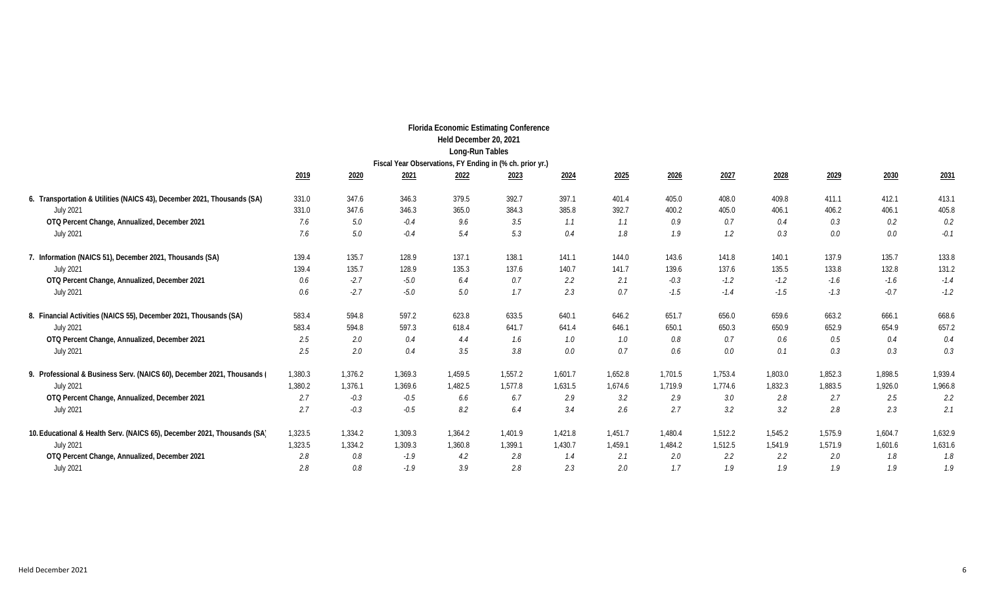|                                                                          |         |         |                                                          | <b>Florida Economic Estimating Conference</b> |         |         |         |         |         |         |         |         |         |
|--------------------------------------------------------------------------|---------|---------|----------------------------------------------------------|-----------------------------------------------|---------|---------|---------|---------|---------|---------|---------|---------|---------|
|                                                                          |         |         |                                                          | Held December 20, 2021                        |         |         |         |         |         |         |         |         |         |
|                                                                          |         |         |                                                          | Long-Run Tables                               |         |         |         |         |         |         |         |         |         |
|                                                                          |         |         | Fiscal Year Observations, FY Ending in (% ch. prior yr.) |                                               |         |         |         |         |         |         |         |         |         |
|                                                                          | 2019    | 2020    | 2021                                                     | 2022                                          | 2023    | 2024    | 2025    | 2026    | 2027    | 2028    | 2029    | 2030    | 2031    |
| 6. Transportation & Utilities (NAICS 43), December 2021, Thousands (SA)  | 331.0   | 347.6   | 346.3                                                    | 379.5                                         | 392.7   | 397.1   | 401.4   | 405.0   | 408.0   | 409.8   | 411.1   | 412.1   | 413.1   |
| <b>July 2021</b>                                                         | 331.0   | 347.6   | 346.3                                                    | 365.0                                         | 384.3   | 385.8   | 392.7   | 400.2   | 405.0   | 406.1   | 406.2   | 406.1   | 405.8   |
| OTQ Percent Change, Annualized, December 2021                            | 7.6     | 5.0     | $-0.4$                                                   | 9.6                                           | 3.5     | 1.1     | 1.1     | 0.9     | 0.7     | 0.4     | 0.3     | 0.2     | $0.2\,$ |
| <b>July 2021</b>                                                         | 7.6     | 5.0     | $-0.4$                                                   | 5.4                                           | 5.3     | 0.4     | $1.8\,$ | 1.9     | 1.2     | 0.3     | 0.0     | $0.0\,$ | $-0.1$  |
| 7. Information (NAICS 51), December 2021, Thousands (SA)                 | 139.4   | 135.7   | 128.9                                                    | 137.1                                         | 138.1   | 141.1   | 144.0   | 143.6   | 141.8   | 140.1   | 137.9   | 135.7   | 133.8   |
| <b>July 2021</b>                                                         | 139.4   | 135.7   | 128.9                                                    | 135.3                                         | 137.6   | 140.7   | 141.7   | 139.6   | 137.6   | 135.5   | 133.8   | 132.8   | 131.2   |
| OTQ Percent Change, Annualized, December 2021                            | 0.6     | $-2.7$  | $-5.0$                                                   | 6.4                                           | 0.7     | 2.2     | 2.1     | $-0.3$  | $-1.2$  | $-1.2$  | $-1.6$  | $-1.6$  | $-1.4$  |
| <b>July 2021</b>                                                         | 0.6     | $-2.7$  | $-5.0$                                                   | 5.0                                           | 1.7     | 2.3     | 0.7     | $-1.5$  | $-1.4$  | $-1.5$  | $-1.3$  | $-0.7$  | $-1.2$  |
| 8. Financial Activities (NAICS 55), December 2021, Thousands (SA)        | 583.4   | 594.8   | 597.2                                                    | 623.8                                         | 633.5   | 640.1   | 646.2   | 651.7   | 656.0   | 659.6   | 663.2   | 666.1   | 668.6   |
| <b>July 2021</b>                                                         | 583.4   | 594.8   | 597.3                                                    | 618.4                                         | 641.7   | 641.4   | 646.1   | 650.1   | 650.3   | 650.9   | 652.9   | 654.9   | 657.2   |
| OTQ Percent Change, Annualized, December 2021                            | 2.5     | 2.0     | 0.4                                                      | 4.4                                           | 1.6     | 1.0     | 1.0     | 0.8     | 0.7     | 0.6     | 0.5     | 0.4     | 0.4     |
| <b>July 2021</b>                                                         | 2.5     | 2.0     | 0.4                                                      | 3.5                                           | 3.8     | 0.0     | 0.7     | 0.6     | 0.0     | 0.1     | 0.3     | 0.3     | 0.3     |
| 9. Professional & Business Serv. (NAICS 60), December 2021, Thousands (  | 1,380.3 | 1,376.2 | 1,369.3                                                  | 1,459.5                                       | 1,557.2 | 1,601.7 | 1,652.8 | 1,701.5 | 1,753.4 | 1,803.0 | 1,852.3 | 1.898.5 | 1,939.4 |
| <b>July 2021</b>                                                         | 1,380.2 | 1,376.1 | 1,369.6                                                  | 1,482.5                                       | 1,577.8 | 1,631.5 | 1,674.6 | 1,719.9 | 1,774.6 | 1,832.3 | 1,883.5 | 1,926.0 | 1,966.8 |
| OTQ Percent Change, Annualized, December 2021                            | 2.7     | $-0.3$  | $-0.5$                                                   | 6.6                                           | 6.7     | 2.9     | 3.2     | 2.9     | 3.0     | 2.8     | 2.7     | 2.5     | 2.2     |
| <b>July 2021</b>                                                         | 2.7     | $-0.3$  | $-0.5$                                                   | 8.2                                           | 6.4     | 3.4     | 2.6     | 2.7     | 3.2     | 3.2     | 2.8     | 2.3     | 2.1     |
| 10. Educational & Health Serv. (NAICS 65), December 2021, Thousands (SA) | 1,323.5 | 1,334.2 | 1,309.3                                                  | 1,364.2                                       | 1,401.9 | 1,421.8 | 1,451.7 | 1,480.4 | 1,512.2 | 1,545.2 | 1,575.9 | 1,604.7 | 1,632.9 |
| <b>July 2021</b>                                                         | 1,323.5 | 1,334.2 | 1,309.3                                                  | 1,360.8                                       | 1,399.1 | 1,430.7 | 1,459.1 | 1,484.2 | 1,512.5 | 1,541.9 | 1,571.9 | 1,601.6 | 1,631.6 |
| OTQ Percent Change, Annualized, December 2021                            | 2.8     | 0.8     | $-1.9$                                                   | 4.2                                           | 2.8     | 1.4     | 2.1     | 2.0     | 2.2     | 2.2     | 2.0     | 1.8     | 1.8     |
| <b>July 2021</b>                                                         | 2.8     | 0.8     | $-1.9$                                                   | 3.9                                           | 2.8     | 2.3     | 2.0     | 1.7     | 1.9     | 1.9     | 1.9     | 1.9     | 1.9     |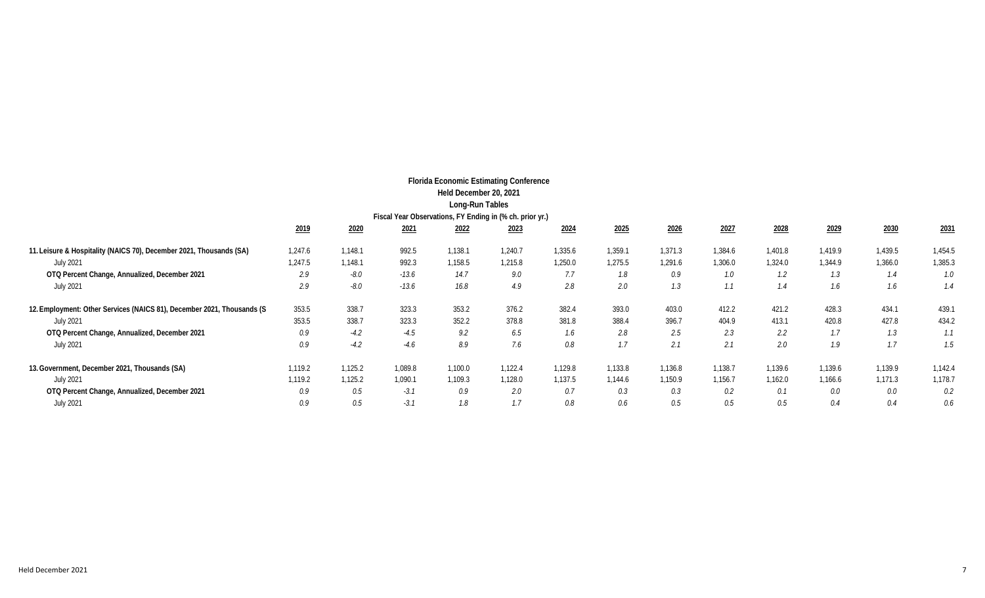|                                                                        |         |         |         | <b>Florida Economic Estimating Conference</b>            |         |         |         |         |         |         |         |         |         |
|------------------------------------------------------------------------|---------|---------|---------|----------------------------------------------------------|---------|---------|---------|---------|---------|---------|---------|---------|---------|
|                                                                        |         |         |         | Held December 20, 2021                                   |         |         |         |         |         |         |         |         |         |
|                                                                        |         |         |         | Long-Run Tables                                          |         |         |         |         |         |         |         |         |         |
|                                                                        |         |         |         | Fiscal Year Observations, FY Ending in (% ch. prior yr.) |         |         |         |         |         |         |         |         |         |
|                                                                        | 2019    | 2020    | 2021    | 2022                                                     | 2023    | 2024    | 2025    | 2026    | 2027    | 2028    | 2029    | 2030    | 2031    |
| 11. Leisure & Hospitality (NAICS 70), December 2021, Thousands (SA)    | 1,247.6 | 1,148.1 | 992.5   | 1,138.1                                                  | 1,240.7 | 1,335.6 | 1,359.1 | 1,371.3 | 1,384.6 | 1,401.8 | 1,419.9 | 1,439.5 | 1,454.5 |
| <b>July 2021</b>                                                       | 1,247.5 | 1,148.1 | 992.3   | 1,158.5                                                  | 1,215.8 | 1,250.0 | 1,275.5 | 1,291.6 | 1,306.0 | 1,324.0 | 1,344.9 | 1,366.0 | 1,385.3 |
| OTQ Percent Change, Annualized, December 2021                          | 2.9     | $-8.0$  | $-13.6$ | 14.7                                                     | 9.0     | 7.7     | 1.8     | 0.9     | 1.0     | 1.2     | 1.3     | 1.4     | 1.0     |
| <b>July 2021</b>                                                       | 2.9     | $-8.0$  | $-13.6$ | 16.8                                                     | 4.9     | 2.8     | 2.0     | 1.3     | 1.1     | 1.4     | 1.6     | 1.6     | 1.4     |
| 12. Employment: Other Services (NAICS 81), December 2021, Thousands (S | 353.5   | 338.7   | 323.3   | 353.2                                                    | 376.2   | 382.4   | 393.0   | 403.0   | 412.2   | 421.2   | 428.3   | 434.1   | 439.1   |
| <b>July 2021</b>                                                       | 353.5   | 338.7   | 323.3   | 352.2                                                    | 378.8   | 381.8   | 388.4   | 396.7   | 404.9   | 413.1   | 420.8   | 427.8   | 434.2   |
| OTQ Percent Change, Annualized, December 2021                          | 0.9     | $-4.2$  | $-4.5$  | 9.2                                                      | 6.5     | 1.6     | 2.8     | 2.5     | 2.3     | 2.2     | 1.7     | 1.3     | 1.1     |
| <b>July 2021</b>                                                       | 0.9     | $-4.2$  | $-4.6$  | 8.9                                                      | 7.6     | 0.8     | 1.7     | 2.1     | 2.1     | 2.0     | 1.9     | 1.7     | 1.5     |
| 13. Government, December 2021, Thousands (SA)                          | 1,119.2 | 1,125.2 | 1,089.8 | 1,100.0                                                  | 1,122.4 | 1,129.8 | 1,133.8 | 1,136.8 | 1,138.7 | 1,139.6 | 1,139.6 | 1,139.9 | 1,142.4 |
| <b>July 2021</b>                                                       | 1,119.2 | 1,125.2 | 1,090.1 | 1,109.3                                                  | 1,128.0 | 1,137.5 | 1,144.6 | 1,150.9 | 1,156.7 | 1,162.0 | 1,166.6 | 1,171.3 | 1,178.7 |
| OTQ Percent Change, Annualized, December 2021                          | 0.9     | 0.5     | $-3.1$  | 0.9                                                      | 2.0     | 0.7     | 0.3     | 0.3     | 0.2     | 0.1     | 0.0     | 0.0     | 0.2     |
| <b>July 2021</b>                                                       | 0.9     | 0.5     | $-3.1$  | 1.8                                                      | 1.7     | 0.8     | 0.6     | 0.5     | 0.5     | 0.5     | 0.4     | 0.4     | 0.6     |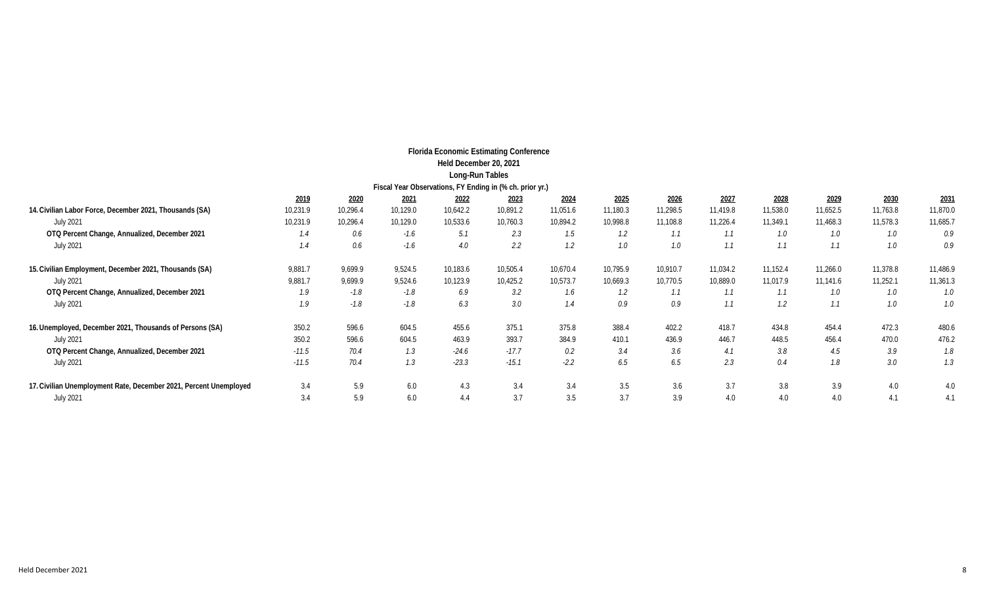|                                                                   |          |          |          | <b>Florida Economic Estimating Conference</b>            |          |          |          |          |          |          |          |          |          |
|-------------------------------------------------------------------|----------|----------|----------|----------------------------------------------------------|----------|----------|----------|----------|----------|----------|----------|----------|----------|
|                                                                   |          |          |          | Held December 20, 2021                                   |          |          |          |          |          |          |          |          |          |
|                                                                   |          |          |          | Long-Run Tables                                          |          |          |          |          |          |          |          |          |          |
|                                                                   |          |          |          | Fiscal Year Observations, FY Ending in (% ch. prior yr.) |          |          |          |          |          |          |          |          |          |
|                                                                   | 2019     | 2020     | 2021     | 2022                                                     | 2023     | 2024     | 2025     | 2026     | 2027     | 2028     | 2029     | 2030     | 2031     |
| 14. Civilian Labor Force, December 2021, Thousands (SA)           | 10,231.9 | 10,296.4 | 10,129.0 | 10,642.2                                                 | 10,891.2 | 11,051.6 | 11,180.3 | 11,298.5 | 11,419.8 | 11,538.0 | 11,652.5 | 11,763.8 | 11,870.0 |
| <b>July 2021</b>                                                  | 10,231.9 | 10,296.4 | 10,129.0 | 10,533.6                                                 | 10,760.3 | 10,894.2 | 10,998.8 | 11,108.8 | 11,226.4 | 11,349.1 | 11,468.3 | 11,578.3 | 11,685.7 |
| OTQ Percent Change, Annualized, December 2021                     | 1.4      | 0.6      | $-1.6$   | 5.1                                                      | 2.3      | 1.5      | 1.2      | 1.1      | 1.1      | 1.0      | 1.0      | 1.0      | 0.9      |
| July 2021                                                         | 1.4      | 0.6      | $-1.6$   | 4.0                                                      | 2.2      | 1.2      | 1.0      | 1.0      | 1.1      |          | 1.1      | 1.0      | 0.9      |
| 15. Civilian Employment, December 2021, Thousands (SA)            | 9,881.7  | 9,699.9  | 9,524.5  | 10,183.6                                                 | 10,505.4 | 10,670.4 | 10,795.9 | 10,910.7 | 11,034.2 | 11,152.4 | 11,266.0 | 11,378.8 | 11,486.9 |
| July 2021                                                         | 9,881.7  | 9,699.9  | 9,524.6  | 10,123.9                                                 | 10,425.2 | 10,573.7 | 10,669.3 | 10,770.5 | 10,889.0 | 11,017.9 | 11,141.6 | 11,252.1 | 11,361.3 |
| OTQ Percent Change, Annualized, December 2021                     | 1.9      | $-1.8$   | $-1.8$   | 6.9                                                      | 3.2      | 1.6      | 1.2      | 1.1      | 1.1      | 1.1      | 1.0      | 1.0      | 1.0      |
| <b>July 2021</b>                                                  | 1.9      | $-1.8$   | $-1.8$   | 6.3                                                      | 3.0      | 1.4      | 0.9      | 0.9      | 1.1      | 1.2      | 1.1      | $1.0\,$  | 1.0      |
| 16. Unemployed, December 2021, Thousands of Persons (SA)          | 350.2    | 596.6    | 604.5    | 455.6                                                    | 375.1    | 375.8    | 388.4    | 402.2    | 418.7    | 434.8    | 454.4    | 472.3    | 480.6    |
| <b>July 2021</b>                                                  | 350.2    | 596.6    | 604.5    | 463.9                                                    | 393.7    | 384.9    | 410.1    | 436.9    | 446.7    | 448.5    | 456.4    | 470.0    | 476.2    |
| OTQ Percent Change, Annualized, December 2021                     | $-11.5$  | 70.4     | 1.3      | $-24.6$                                                  | $-17.7$  | 0.2      | 3.4      | 3.6      | 4.1      | 3.8      | 4.5      | 3.9      | 1.8      |
| <b>July 2021</b>                                                  | $-11.5$  | 70.4     | 1.3      | $-23.3$                                                  | $-15.1$  | $-2.2$   | 6.5      | 6.5      | 2.3      | 0.4      | 1.8      | 3.0      | 1.3      |
| 17. Civilian Unemployment Rate, December 2021, Percent Unemployed | 3.4      | 5.9      | 6.0      | 4.3                                                      | 3.4      | 3.4      | 3.5      | 3.6      | 3.7      | 3.8      | 3.9      | 4.0      | 4.0      |
| <b>July 2021</b>                                                  | 3.4      | 5.9      | 6.0      | 4.4                                                      | 3.7      | 3.5      | 3.7      | 3.9      | 4.0      | 4.0      | 4.0      | 4.1      | 4.1      |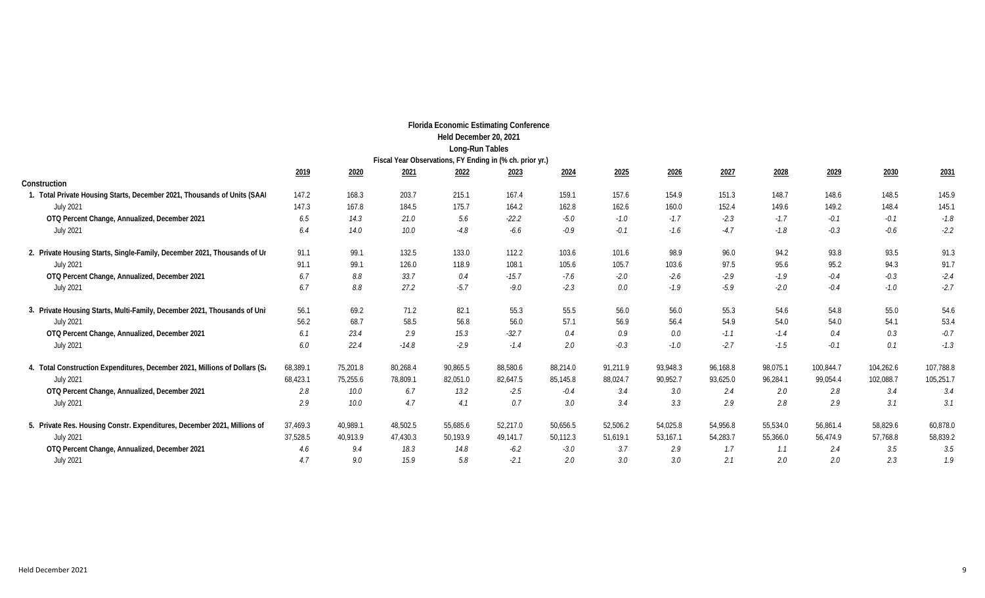|                                                                            |          |          |          | <b>Florida Economic Estimating Conference</b>            |             |          |          |          |          |          |           |           |           |
|----------------------------------------------------------------------------|----------|----------|----------|----------------------------------------------------------|-------------|----------|----------|----------|----------|----------|-----------|-----------|-----------|
|                                                                            |          |          |          | Held December 20, 2021                                   |             |          |          |          |          |          |           |           |           |
|                                                                            |          |          |          | Long-Run Tables                                          |             |          |          |          |          |          |           |           |           |
|                                                                            |          |          |          | Fiscal Year Observations, FY Ending in (% ch. prior yr.) |             |          |          |          |          |          |           |           |           |
|                                                                            | 2019     | 2020     | 2021     | 2022                                                     | <u>2023</u> | 2024     | 2025     | 2026     | 2027     | 2028     | 2029      | 2030      | 2031      |
| Construction                                                               |          |          |          |                                                          |             |          |          |          |          |          |           |           |           |
| Total Private Housing Starts, December 2021, Thousands of Units (SAAI      | 147.2    | 168.3    | 203.7    | 215.1                                                    | 167.4       | 159.1    | 157.6    | 154.9    | 151.3    | 148.7    | 148.6     | 148.5     | 145.9     |
| <b>July 2021</b>                                                           | 147.3    | 167.8    | 184.5    | 175.7                                                    | 164.2       | 162.8    | 162.6    | 160.0    | 152.4    | 149.6    | 149.2     | 148.4     | 145.1     |
| OTQ Percent Change, Annualized, December 2021                              | 6.5      | 14.3     | 21.0     | 5.6                                                      | $-22.2$     | $-5.0$   | $-1.0$   | $-1.7$   | $-2.3$   | $-1.7$   | $-0.1$    | $-0.1$    | $-1.8$    |
| <b>July 2021</b>                                                           | 6.4      | 14.0     | 10.0     | $-4.8$                                                   | $-6.6$      | $-0.9$   | $-0.1$   | $-1.6$   | $-4.7$   | $-1.8$   | $-0.3$    | $-0.6$    | $-2.2$    |
| 2. Private Housing Starts, Single-Family, December 2021, Thousands of Ur   | 91.1     | 99.1     | 132.5    | 133.0                                                    | 112.2       | 103.6    | 101.6    | 98.9     | 96.0     | 94.2     | 93.8      | 93.5      | 91.3      |
| <b>July 2021</b>                                                           | 91.1     | 99.1     | 126.0    | 118.9                                                    | 108.1       | 105.6    | 105.7    | 103.6    | 97.5     | 95.6     | 95.2      | 94.3      | 91.7      |
| OTQ Percent Change, Annualized, December 2021                              | 6.7      | 8.8      | 33.7     | 0.4                                                      | $-15.7$     | $-7.6$   | $-2.0$   | $-2.6$   | $-2.9$   | $-1.9$   | $-0.4$    | $-0.3$    | $-2.4$    |
| <b>July 2021</b>                                                           | 6.7      | 8.8      | 27.2     | $-5.7$                                                   | $-9.0$      | $-2.3$   | 0.0      | $-1.9$   | $-5.9$   | $-2.0$   | $-0.4$    | $-1.0$    | $-2.7$    |
| 3. Private Housing Starts, Multi-Family, December 2021, Thousands of Uni   | 56.1     | 69.2     | 71.2     | 82.1                                                     | 55.3        | 55.5     | 56.0     | 56.0     | 55.3     | 54.6     | 54.8      | 55.0      | 54.6      |
| <b>July 2021</b>                                                           | 56.2     | 68.7     | 58.5     | 56.8                                                     | 56.0        | 57.1     | 56.9     | 56.4     | 54.9     | 54.0     | 54.0      | 54.1      | 53.4      |
| OTQ Percent Change, Annualized, December 2021                              | 6.1      | 23.4     | 2.9      | 15.3                                                     | $-32.7$     | 0.4      | 0.9      | 0.0      | $-1.1$   | $-1.4$   | 0.4       | 0.3       | $-0.7$    |
| <b>July 2021</b>                                                           | 6.0      | 22.4     | $-14.8$  | $-2.9$                                                   | $-1.4$      | 2.0      | $-0.3$   | $-1.0$   | $-2.7$   | $-1.5$   | $-0.1$    | 0.1       | $-1.3$    |
| 4. Total Construction Expenditures, December 2021, Millions of Dollars (S. | 68,389.1 | 75,201.8 | 80,268.4 | 90,865.5                                                 | 88,580.6    | 88,214.0 | 91,211.9 | 93,948.3 | 96,168.8 | 98,075.1 | 100,844.7 | 104,262.6 | 107,788.8 |
| <b>July 2021</b>                                                           | 68,423.1 | 75,255.6 | 78,809.1 | 82,051.0                                                 | 82,647.5    | 85,145.8 | 88,024.7 | 90,952.7 | 93,625.0 | 96,284.1 | 99,054.4  | 102,088.7 | 105,251.7 |
| OTQ Percent Change, Annualized, December 2021                              | 2.8      | 10.0     | 6.7      | 13.2                                                     | $-2.5$      | $-0.4$   | 3.4      | 3.0      | 2.4      | 2.0      | 2.8       | 3.4       | 3.4       |
| <b>July 2021</b>                                                           | 2.9      | 10.0     | 4.7      | 4.1                                                      | 0.7         | 3.0      | 3.4      | 3.3      | 2.9      | 2.8      | 2.9       | 3.1       | 3.1       |
| 5. Private Res. Housing Constr. Expenditures, December 2021, Millions of   | 37,469.3 | 40,989.1 | 48,502.5 | 55,685.6                                                 | 52,217.0    | 50,656.5 | 52,506.2 | 54,025.8 | 54,956.8 | 55,534.0 | 56,861.4  | 58,829.6  | 60,878.0  |
| <b>July 2021</b>                                                           | 37,528.5 | 40,913.9 | 47,430.3 | 50,193.9                                                 | 49,141.7    | 50,112.3 | 51,619.1 | 53,167.1 | 54,283.7 | 55,366.0 | 56,474.9  | 57,768.8  | 58,839.2  |
| OTQ Percent Change, Annualized, December 2021                              | 4.6      | 9.4      | 18.3     | 14.8                                                     | $-6.2$      | $-3.0$   | 3.7      | 2.9      | 1.7      | 1.1      | 2.4       | 3.5       | 3.5       |
| <b>July 2021</b>                                                           | 4.7      | 9.0      | 15.9     | 5.8                                                      | $-2.1$      | 2.0      | 3.0      | 3.0      | 2.1      | 2.0      | 2.0       | 2.3       | 1.9       |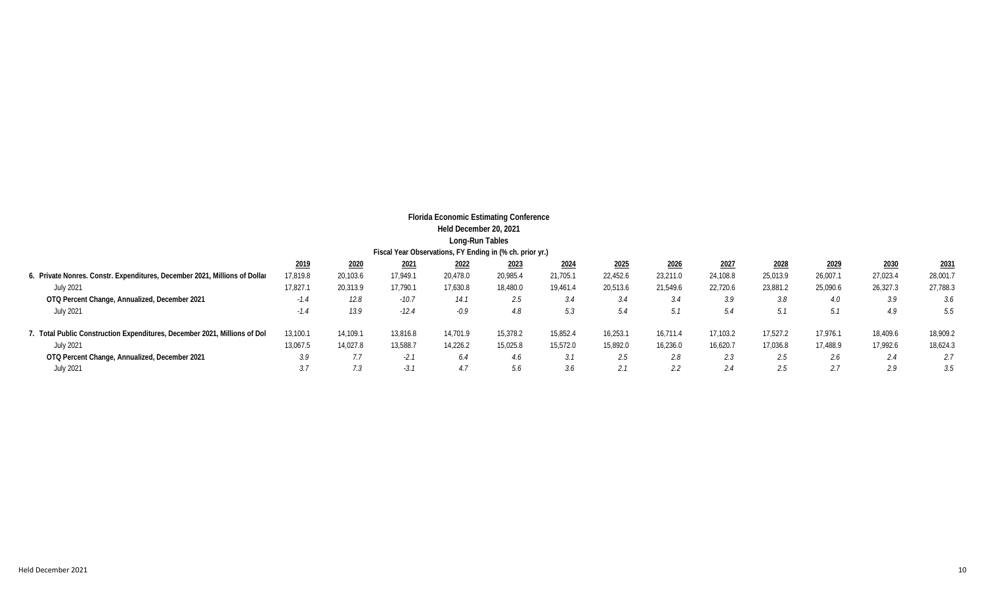|                                                                            |          |          |                                                          | <b>Florida Economic Estimating Conference</b> |          |          |          |          |          |          |          |          |          |
|----------------------------------------------------------------------------|----------|----------|----------------------------------------------------------|-----------------------------------------------|----------|----------|----------|----------|----------|----------|----------|----------|----------|
|                                                                            |          |          |                                                          | Held December 20, 2021                        |          |          |          |          |          |          |          |          |          |
|                                                                            |          |          |                                                          | Long-Run Tables                               |          |          |          |          |          |          |          |          |          |
|                                                                            |          |          | Fiscal Year Observations, FY Ending in (% ch. prior yr.) |                                               |          |          |          |          |          |          |          |          |          |
|                                                                            | 2019     | 2020     | <u>2021</u>                                              | 2022                                          | 2023     | 2024     | 2025     | 2026     | 2027     | 2028     | 2029     | 2030     | 2031     |
| 6. Private Nonres. Constr. Expenditures, December 2021, Millions of Dollar | 17,819.8 | 20,103.6 | 17,949.1                                                 | 20,478.0                                      | 20,985.4 | 21,705.1 | 22,452.6 | 23,211.0 | 24,108.8 | 25,013.9 | 26,007.1 | 27,023.4 | 28,001.7 |
| July 2021                                                                  | 17,827.  | 20,313.9 | 17,790.1                                                 | 17,630.8                                      | 18,480.0 | 19,461.4 | 20,513.6 | 21,549.6 | 22,720.6 | 23,881.2 | 25,090.6 | 26,327.3 | 27,788.3 |
| OTQ Percent Change, Annualized, December 2021                              | $-1.4$   | 12.8     | $-10.7$                                                  | 14.1                                          | 2.5      | 3.4      | 3.4      | 3.4      | 3.9      | 3.8      | 4.0      | 3.9      | 3.6      |
| July 2021                                                                  | $-1.4$   | 13.9     | $-12.4$                                                  | $-0.9$                                        | 4.8      | 5.3      | 5.4      | 5.1      | 5.4      | 5.1      | 5.1      | 4.9      | 5.5      |
| 7. Total Public Construction Expenditures, December 2021, Millions of Dol  | 13,100.1 | 14,109.1 | 13,816.8                                                 | 14,701.9                                      | 15,378.2 | 15,852.4 | 16,253.1 | 16.711.4 | 17,103.2 | 17,527.2 | 17,976.1 | 18,409.6 | 18,909.2 |
| July 2021                                                                  | 13,067.5 | 14,027.8 | 13,588.7                                                 | 14,226.2                                      | 15,025.8 | 15,572.0 | 15,892.0 | 16,236.0 | 16,620.7 | 17,036.8 | 17,488.9 | 17,992.6 | 18,624.3 |
| OTQ Percent Change, Annualized, December 2021                              | 3.9      | 7.7      | $-2.1$                                                   | 6.4                                           | 4.6      | 3.1      | 2.5      | 2.8      | 2.3      | 2.5      | 2.6      | 2.4      | 2.7      |
| July 2021                                                                  | 3.7      | 7.3      | $-3.1$                                                   | 4.7                                           | 5.6      | 3.6      | 2.1      | 2.2      | 2.4      | 2.5      | 2.7      | 2.9      | 3.5      |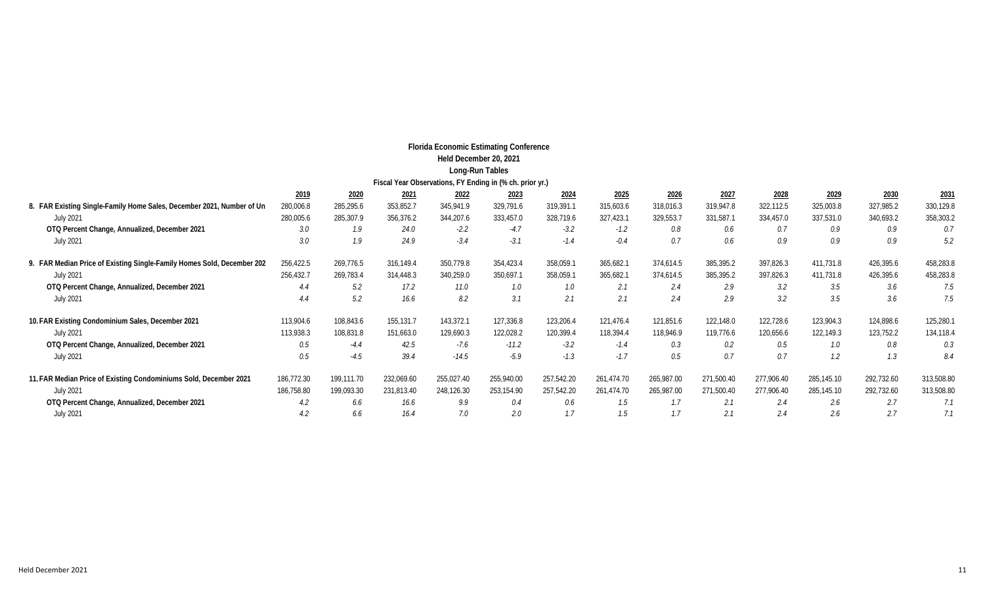|                                                                        |            |            |            | <b>Florida Economic Estimating Conference</b><br>Held December 20, 2021 |            |            |            |            |            |            |            |            |            |
|------------------------------------------------------------------------|------------|------------|------------|-------------------------------------------------------------------------|------------|------------|------------|------------|------------|------------|------------|------------|------------|
|                                                                        |            |            |            | Long-Run Tables                                                         |            |            |            |            |            |            |            |            |            |
|                                                                        |            |            |            | Fiscal Year Observations, FY Ending in (% ch. prior yr.)                |            |            |            |            |            |            |            |            |            |
|                                                                        | 2019       | 2020       | 2021       | 2022                                                                    | 2023       | 2024       | 2025       | 2026       | 2027       | 2028       | 2029       | 2030       | 2031       |
| 8. FAR Existing Single-Family Home Sales, December 2021, Number of Un  | 280,006.8  | 285,295.6  | 353,852.7  | 345,941.9                                                               | 329,791.6  | 319,391.1  | 315,603.6  | 318,016.3  | 319,947.8  | 322,112.5  | 325,003.8  | 327,985.2  | 330,129.8  |
| <b>July 2021</b>                                                       | 280,005.6  | 285,307.9  | 356,376.2  | 344,207.6                                                               | 333,457.0  | 328,719.6  | 327,423.1  | 329,553.7  | 331,587.1  | 334,457.0  | 337,531.0  | 340,693.2  | 358,303.2  |
| OTQ Percent Change, Annualized, December 2021                          | 3.0        | 1.9        | 24.0       | $-2.2$                                                                  | $-4.7$     | $-3.2$     | $-1.2$     | 0.8        | 0.6        | 0.7        | 0.9        | 0.9        | 0.7        |
| <b>July 2021</b>                                                       | 3.0        | 1.9        | 24.9       | $-3.4$                                                                  | $-3.1$     | $-1.4$     | $-0.4$     | 0.7        | 0.6        | 0.9        | 0.9        | 0.9        | 5.2        |
| 9. FAR Median Price of Existing Single-Family Homes Sold, December 202 | 256,422.5  | 269,776.5  | 316,149.4  | 350,779.8                                                               | 354,423.4  | 358,059.1  | 365,682.1  | 374,614.5  | 385,395.2  | 397,826.3  | 411,731.8  | 426,395.6  | 458,283.8  |
| <b>July 2021</b>                                                       | 256,432.7  | 269,783.4  | 314,448.3  | 340,259.0                                                               | 350,697.1  | 358,059.1  | 365,682.1  | 374,614.5  | 385,395.2  | 397,826.3  | 411,731.8  | 426,395.6  | 458,283.8  |
| OTQ Percent Change, Annualized, December 2021                          | 4.4        | 5.2        | 17.2       | 11.0                                                                    | 1.0        | 1.0        | 2.1        | 2.4        | 2.9        | 3.2        | 3.5        | 3.6        | 7.5        |
| <b>July 2021</b>                                                       | 4.4        | 5.2        | 16.6       | 8.2                                                                     | 3.1        | 2.1        | 2.1        | 2.4        | 2.9        | 3.2        | 3.5        | 3.6        | 7.5        |
| 10. FAR Existing Condominium Sales, December 2021                      | 113,904.6  | 108,843.6  | 155,131.7  | 143,372.1                                                               | 127,336.8  | 123,206.4  | 121,476.4  | 121,851.6  | 122,148.0  | 122,728.6  | 123,904.3  | 124,898.6  | 125,280.   |
| <b>July 2021</b>                                                       | 113,938.3  | 108,831.8  | 151,663.0  | 129,690.3                                                               | 122,028.2  | 120,399.4  | 118,394.4  | 118,946.9  | 119,776.6  | 120,656.6  | 122,149.3  | 123,752.2  | 134,118.4  |
| OTQ Percent Change, Annualized, December 2021                          | 0.5        | $-4.4$     | 42.5       | $-7.6$                                                                  | $-11.2$    | $-3.2$     | $-1.4$     | 0.3        | 0.2        | 0.5        | 1.0        | 0.8        | 0.3        |
| <b>July 2021</b>                                                       | 0.5        | $-4.5$     | 39.4       | $-14.5$                                                                 | $-5.9$     | $-1.3$     | $-1.7$     | 0.5        | 0.7        | 0.7        | 1.2        | 1.3        | 8.4        |
| 11. FAR Median Price of Existing Condominiums Sold, December 2021      | 186,772.30 | 199,111.70 | 232,069.60 | 255,027.40                                                              | 255,940.00 | 257,542.20 | 261,474.70 | 265,987.00 | 271,500.40 | 277,906.40 | 285,145.10 | 292,732.60 | 313,508.80 |
| <b>July 2021</b>                                                       | 186,758.80 | 199,093.30 | 231,813.40 | 248,126.30                                                              | 253,154.90 | 257,542.20 | 261,474.70 | 265,987.00 | 271,500.40 | 277,906.40 | 285,145.10 | 292,732.60 | 313,508.80 |
| OTQ Percent Change, Annualized, December 2021                          | 4.2        | 6.6        | 16.6       | 9.9                                                                     | 0.4        | 0.6        | 1.5        | 1.7        | 2.1        | 2.4        | 2.6        | 2.7        | 7.1        |
| <b>July 2021</b>                                                       | 4.2        | 6.6        | 16.4       | 7.0                                                                     | 2.0        | 1.7        | 1.5        | 1.7        | 2.1        | 2.4        | 2.6        | 2.7        | 7.1        |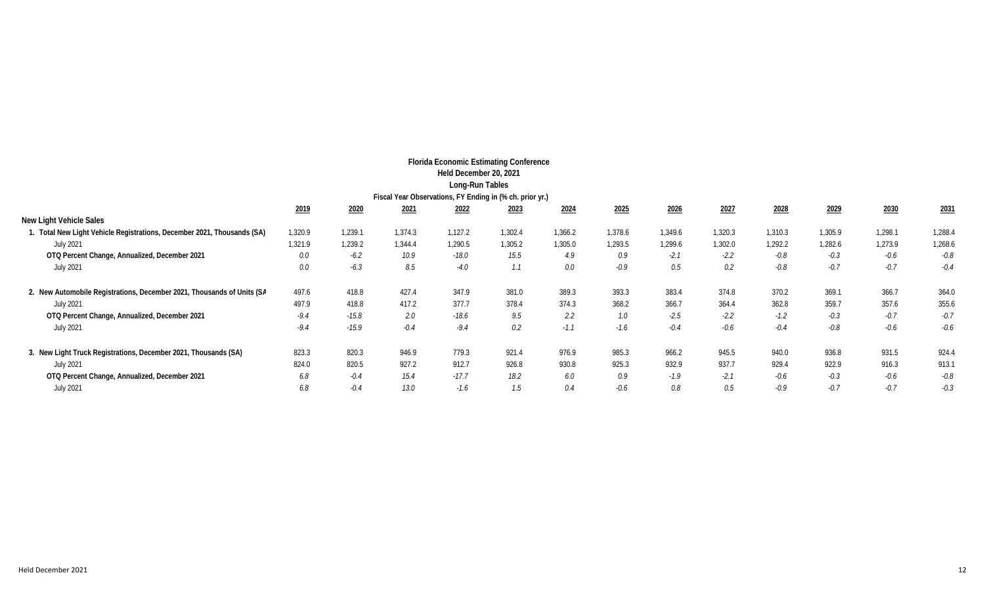|                                                                         |         |         | Fiscal Year Observations, FY Ending in (% ch. prior yr.) | <b>Florida Economic Estimating Conference</b><br>Held December 20, 2021<br>Long-Run Tables |         |         |         |         |         |         |         |         |         |
|-------------------------------------------------------------------------|---------|---------|----------------------------------------------------------|--------------------------------------------------------------------------------------------|---------|---------|---------|---------|---------|---------|---------|---------|---------|
|                                                                         | 2019    | 2020    | 2021                                                     | 2022                                                                                       | 2023    | 2024    | 2025    | 2026    | 2027    | 2028    | 2029    | 2030    | 2031    |
| New Light Vehicle Sales                                                 |         |         |                                                          |                                                                                            |         |         |         |         |         |         |         |         |         |
| 1. Total New Light Vehicle Registrations, December 2021, Thousands (SA) | 1,320.9 | 1,239.1 | 1,374.3                                                  | 1,127.2                                                                                    | 1,302.4 | 1,366.2 | 1,378.6 | 1,349.6 | 1,320.3 | 1,310.3 | 1,305.9 | 1,298.1 | 1,288.  |
| <b>July 2021</b>                                                        | 1,321.9 | 1,239.2 | 1,344.4                                                  | 1,290.5                                                                                    | 1,305.2 | 1,305.0 | 1,293.5 | 1,299.6 | 1,302.0 | 1,292.2 | 1,282.6 | 1,273.9 | 1,268.6 |
| OTQ Percent Change, Annualized, December 2021                           | 0.0     | $-6.2$  | 10.9                                                     | $-18.0$                                                                                    | 15.5    | 4.9     | 0.9     | $-2.1$  | $-2.2$  | -0.8    | $-0.3$  | $-0.6$  | $-0.8$  |
| <b>July 2021</b>                                                        | 0.0     | $-6.3$  | 8.5                                                      | $-4.0$                                                                                     | 1.1     | 0.0     | $-0.9$  | 0.5     | 0.2     | $-0.8$  | $-0.7$  | $-0.7$  | $-0.4$  |
| 2. New Automobile Registrations, December 2021, Thousands of Units (SA  | 497.6   | 418.8   | 427.4                                                    | 347.9                                                                                      | 381.0   | 389.3   | 393.3   | 383.4   | 374.8   | 370.2   | 369.1   | 366.7   | 364.0   |
| <b>July 2021</b>                                                        | 497.9   | 418.8   | 417.2                                                    | 377.7                                                                                      | 378.4   | 374.3   | 368.2   | 366.7   | 364.4   | 362.8   | 359.7   | 357.6   | 355.6   |
| OTQ Percent Change, Annualized, December 2021                           | $-9.4$  | $-15.8$ | 2.0                                                      | $-18.6$                                                                                    | 9.5     | 2.2     | 1.0     | $-2.5$  | $-2.2$  | $-1.2$  | $-0.3$  | $-0.7$  | $-0.7$  |
| <b>July 2021</b>                                                        | $-9.4$  | $-15.9$ | $-0.4$                                                   | $-9.4$                                                                                     | 0.2     | $-1.1$  | $-1.6$  | $-0.4$  | $-0.6$  | $-0.4$  | $-0.8$  | $-0.6$  | $-0.6$  |
| 3. New Light Truck Registrations, December 2021, Thousands (SA)         | 823.3   | 820.3   | 946.9                                                    | 779.3                                                                                      | 921.4   | 976.9   | 985.3   | 966.2   | 945.5   | 940.0   | 936.8   | 931.5   | 924.4   |
| <b>July 2021</b>                                                        | 824.0   | 820.5   | 927.2                                                    | 912.7                                                                                      | 926.8   | 930.8   | 925.3   | 932.9   | 937.7   | 929.4   | 922.9   | 916.3   | 913.1   |
| OTQ Percent Change, Annualized, December 2021                           | 6.8     | $-0.4$  | 15.4                                                     | $-17.7$                                                                                    | 18.2    | 6.0     | 0.9     | $-1.9$  | $-2.1$  | $-0.6$  | $-0.3$  | $-0.6$  | $-0.8$  |
| <b>July 2021</b>                                                        | 6.8     | $-0.4$  | 13.0                                                     | $-1.6$                                                                                     | 1.5     | 0.4     | $-0.6$  | 0.8     | 0.5     | $-0.9$  | $-0.7$  | $-0.7$  | $-0.3$  |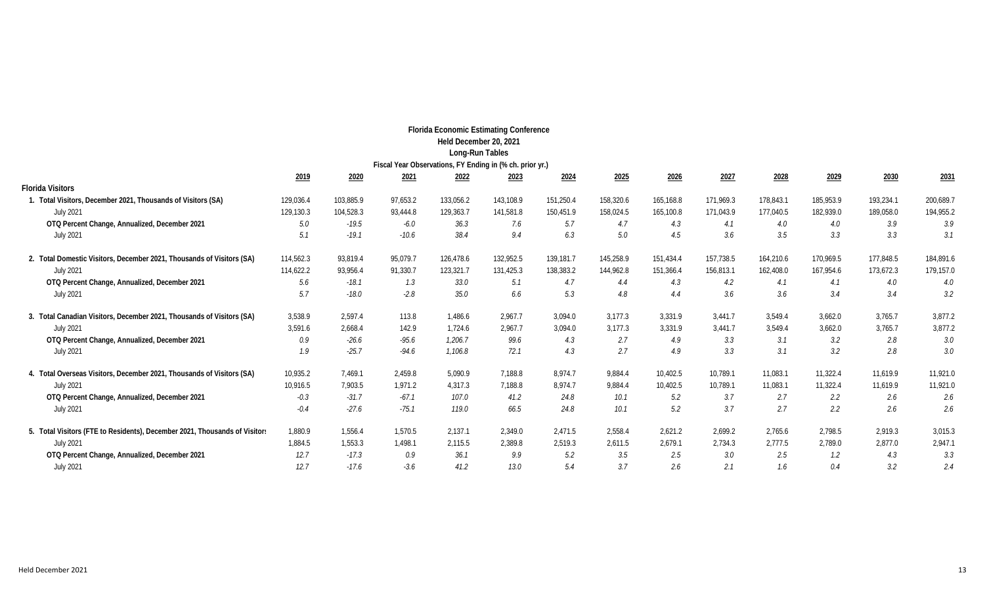|                                                                            |           |           |          | <b>Florida Economic Estimating Conference</b> |           |           |           |           |           |           |           |           |           |
|----------------------------------------------------------------------------|-----------|-----------|----------|-----------------------------------------------|-----------|-----------|-----------|-----------|-----------|-----------|-----------|-----------|-----------|
|                                                                            |           |           |          | Held December 20, 2021                        |           |           |           |           |           |           |           |           |           |
|                                                                            |           |           |          | Long-Run Tables                               |           |           |           |           |           |           |           |           |           |
| Fiscal Year Observations, FY Ending in (% ch. prior yr.)                   |           |           |          |                                               |           |           |           |           |           |           |           |           |           |
|                                                                            | 2019      | 2020      | 2021     | 2022                                          | 2023      | 2024      | 2025      | 2026      | 2027      | 2028      | 2029      | 2030      | 2031      |
| <b>Florida Visitors</b>                                                    |           |           |          |                                               |           |           |           |           |           |           |           |           |           |
| 1. Total Visitors, December 2021, Thousands of Visitors (SA)               | 129,036.4 | 103,885.9 | 97,653.2 | 133,056.2                                     | 143,108.9 | 151,250.4 | 158,320.6 | 165,168.8 | 171,969.3 | 178,843.1 | 185,953.9 | 193,234.1 | 200,689.7 |
| <b>July 2021</b>                                                           | 129,130.3 | 104,528.3 | 93,444.8 | 129,363.7                                     | 141,581.8 | 150,451.9 | 158,024.5 | 165,100.8 | 171,043.9 | 177,040.5 | 182,939.0 | 189,058.0 | 194,955.2 |
| OTQ Percent Change, Annualized, December 2021                              | 5.0       | $-19.5$   | $-6.0$   | 36.3                                          | 7.6       | 5.7       | 4.7       | 4.3       | 4.1       | 4.0       | 4.0       | 3.9       | 3.9       |
| <b>July 2021</b>                                                           | 5.1       | $-19.1$   | $-10.6$  | 38.4                                          | 9.4       | 6.3       | $5.0\,$   | 4.5       | 3.6       | 3.5       | 3.3       | 3.3       | 3.1       |
| 2. Total Domestic Visitors, December 2021, Thousands of Visitors (SA)      | 114,562.3 | 93,819.4  | 95,079.7 | 126,478.6                                     | 132,952.5 | 139,181.7 | 145,258.9 | 151,434.4 | 157,738.5 | 164,210.6 | 170,969.5 | 177,848.5 | 184,891.6 |
| <b>July 2021</b>                                                           | 114,622.2 | 93,956.4  | 91,330.7 | 123,321.7                                     | 131,425.3 | 138,383.2 | 144,962.8 | 151,366.4 | 156,813.1 | 162,408.0 | 167,954.6 | 173,672.3 | 179,157.0 |
| OTQ Percent Change, Annualized, December 2021                              | 5.6       | $-18.1$   | 1.3      | 33.0                                          | 5.1       | 4.7       | 4.4       | 4.3       | 4.2       | 4.1       | 4.1       | 4.0       | 4.0       |
| <b>July 2021</b>                                                           | 5.7       | $-18.0$   | $-2.8$   | 35.0                                          | 6.6       | 5.3       | 4.8       | 4.4       | 3.6       | 3.6       | 3.4       | 3.4       | 3.2       |
| 3. Total Canadian Visitors, December 2021, Thousands of Visitors (SA)      | 3,538.9   | 2,597.4   | 113.8    | 1,486.6                                       | 2,967.7   | 3,094.0   | 3,177.3   | 3,331.9   | 3,441.7   | 3,549.4   | 3,662.0   | 3,765.7   | 3,877.2   |
| <b>July 2021</b>                                                           | 3,591.6   | 2,668.4   | 142.9    | 1,724.6                                       | 2,967.7   | 3,094.0   | 3,177.3   | 3,331.9   | 3,441.7   | 3,549.4   | 3,662.0   | 3,765.7   | 3,877.2   |
| OTQ Percent Change, Annualized, December 2021                              | 0.9       | $-26.6$   | $-95.6$  | 1,206.7                                       | 99.6      | 4.3       | 2.7       | 4.9       | 3.3       | 3.1       | 3.2       | 2.8       | 3.0       |
| <b>July 2021</b>                                                           | 1.9       | $-25.7$   | $-94.6$  | 1,106.8                                       | 72.1      | 4.3       | 2.7       | 4.9       | 3.3       | 3.1       | 3.2       | 2.8       | 3.0       |
| 4. Total Overseas Visitors, December 2021, Thousands of Visitors (SA)      | 10,935.2  | 7,469.1   | 2,459.8  | 5,090.9                                       | 7,188.8   | 8.974.7   | 9,884.4   | 10,402.5  | 10,789.1  | 11,083.1  | 11,322.4  | 11,619.9  | 11,921.0  |
| <b>July 2021</b>                                                           | 10,916.5  | 7,903.5   | 1,971.2  | 4,317.3                                       | 7,188.8   | 8,974.7   | 9,884.4   | 10,402.5  | 10,789.1  | 11,083.1  | 11,322.4  | 11,619.9  | 11,921.0  |
| OTQ Percent Change, Annualized, December 2021                              | $-0.3$    | $-31.7$   | $-67.1$  | 107.0                                         | 41.2      | 24.8      | 10.1      | 5.2       | 3.7       | 2.7       | 2.2       | 2.6       | 2.6       |
| <b>July 2021</b>                                                           | $-0.4$    | $-27.6$   | $-75.1$  | 119.0                                         | 66.5      | 24.8      | 10.1      | 5.2       | 3.7       | 2.7       | 2.2       | 2.6       | 2.6       |
| 5. Total Visitors (FTE to Residents), December 2021, Thousands of Visitor: | 1,880.9   | 1,556.4   | 1.570.5  | 2.137.1                                       | 2.349.0   | 2.471.5   | 2,558.4   | 2,621.2   | 2,699.2   | 2,765.6   | 2.798.5   | 2.919.3   | 3,015.3   |
| <b>July 2021</b>                                                           | 1,884.5   | 1,553.3   | 1,498.1  | 2.115.5                                       | 2.389.8   | 2,519.3   | 2,611.5   | 2,679.1   | 2,734.3   | 2,777.5   | 2,789.0   | 2,877.0   | 2,947.1   |
| OTQ Percent Change, Annualized, December 2021                              | 12.7      | $-17.3$   | 0.9      | 36.1                                          | 9.9       | 5.2       | 3.5       | 2.5       | 3.0       | 2.5       | 1.2       | 4.3       | 3.3       |
| <b>July 2021</b>                                                           | 12.7      | $-17.6$   | $-3.6$   | 41.2                                          | 13.0      | 5.4       | 3.7       | 2.6       | 2.1       | 1.6       | 0.4       | 3.2       | 2.4       |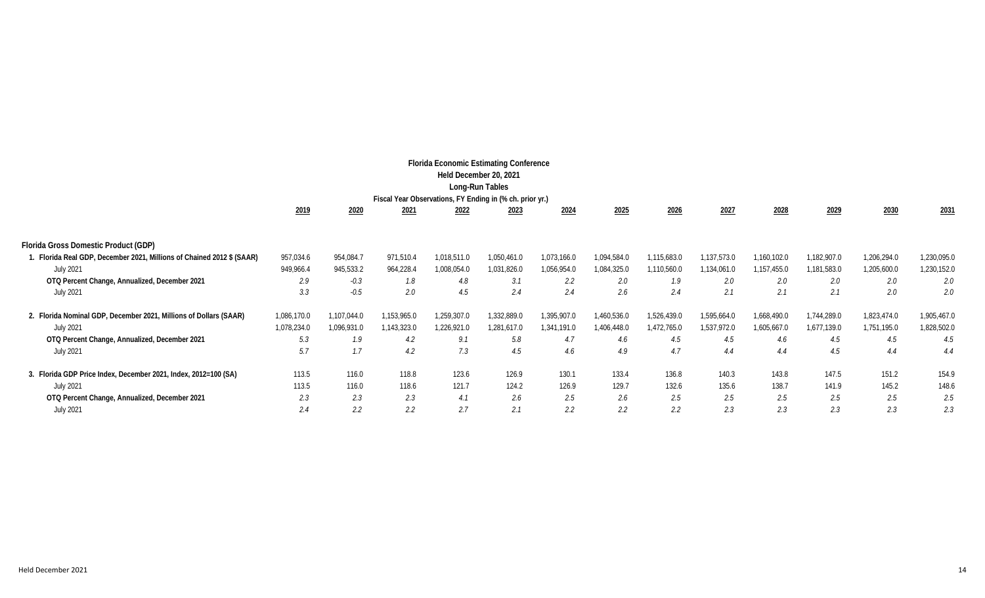| <b>Florida Economic Estimating Conference</b><br>Held December 20, 2021<br>Long-Run Tables<br>Fiscal Year Observations, FY Ending in (% ch. prior yr.) |             |             |             |             |             |               |             |             |             |             |             |             |             |
|--------------------------------------------------------------------------------------------------------------------------------------------------------|-------------|-------------|-------------|-------------|-------------|---------------|-------------|-------------|-------------|-------------|-------------|-------------|-------------|
|                                                                                                                                                        | 2019        | 2020        | 2021        | 2022        | 2023        | 2024          | 2025        | 2026        | 2027        | 2028        | 2029        | 2030        | 2031        |
| Florida Gross Domestic Product (GDP)                                                                                                                   |             |             |             |             |             |               |             |             |             |             |             |             |             |
| 1. Florida Real GDP, December 2021, Millions of Chained 2012 \$ (SAAR)                                                                                 | 957,034.6   | 954,084.7   | 971,510.4   | 1,018,511.0 | 1,050,461.0 | 1,073,166.0   | 1,094,584.0 | 1,115,683.0 | 1,137,573.0 | 1,160,102.0 | 1,182,907.0 | 1,206,294.0 | 1,230,095.0 |
| <b>July 2021</b>                                                                                                                                       | 949,966.4   | 945,533.2   | 964,228.4   | 1,008,054.0 | 1,031,826.0 | 1,056,954.0   | 1,084,325.0 | 1,110,560.0 | 1,134,061.0 | 1,157,455.0 | 1,181,583.0 | 1,205,600.0 | 1,230,152.0 |
| OTQ Percent Change, Annualized, December 2021                                                                                                          | 2.9         | $-0.3$      | 1.8         | 4.8         | 3.1         | 2.2           | 2.0         | 1.9         | 2.0         | 2.0         | 2.0         | 2.0         | 2.0         |
| <b>July 2021</b>                                                                                                                                       | 3.3         | $-0.5$      | 2.0         | 4.5         | 2.4         | 2.4           | 2.6         | 2.4         | 2.1         | 2.1         | 2.1         | 2.0         | 2.0         |
| 2. Florida Nominal GDP, December 2021, Millions of Dollars (SAAR)                                                                                      | 1,086,170.0 | ,107,044.0  | 1,153,965.0 | 1,259,307.0 | 1,332,889.0 | 1,395,907.0   | 1,460,536.0 | 1,526,439.0 | 1,595,664.0 | 1,668,490.0 | 1,744,289.0 | 1,823,474.0 | 1,905,467.0 |
| <b>July 2021</b>                                                                                                                                       | 1,078,234.0 | 1,096,931.0 | 1,143,323.0 | 1,226,921.0 | 1,281,617.0 | 1,341,191.0   | 1,406,448.0 | 1,472,765.0 | 1,537,972.0 | 1,605,667.0 | 1,677,139.0 | 1,751,195.0 | 1,828,502.0 |
| OTQ Percent Change, Annualized, December 2021                                                                                                          | 5.3         | 1.9         | 4.2         | 9.1         | 5.8         | 4.7           | 4.6         | 4.5         | 4.5         | 4.6         | 4.5         | 4.5         | 4.5         |
| <b>July 2021</b>                                                                                                                                       | 5.7         | 1.7         | 4.2         | 7.3         | 4.5         | 4.6           | 4.9         | 4.7         | 4.4         | 4.4         | 4.5         | 4.4         | 4.4         |
| 3. Florida GDP Price Index, December 2021, Index, 2012=100 (SA)                                                                                        | 113.5       | 116.0       | 118.8       | 123.6       | 126.9       | 130.1         | 133.4       | 136.8       | 140.3       | 143.8       | 147.5       | 151.2       | 154.9       |
| <b>July 2021</b>                                                                                                                                       | 113.5       | 116.0       | 118.6       | 121.7       | 124.2       | 126.9         | 129.7       | 132.6       | 135.6       | 138.7       | 141.9       | 145.2       | 148.6       |
| OTQ Percent Change, Annualized, December 2021                                                                                                          | 2.3         | 2.3         | 2.3         | 4.1         | 2.6         | 2.5           | 2.6         | 2.5         | 2.5         | 2.5         | 2.5         | 2.5         | 2.5         |
| <b>July 2021</b>                                                                                                                                       | 2.4         | 2.2         | 2.2         | 2.7         | 2.1         | $2.2^{\circ}$ | 2.2         | 2.2         | 2.3         | 2.3         | 2.3         | 2.3         | 2.3         |